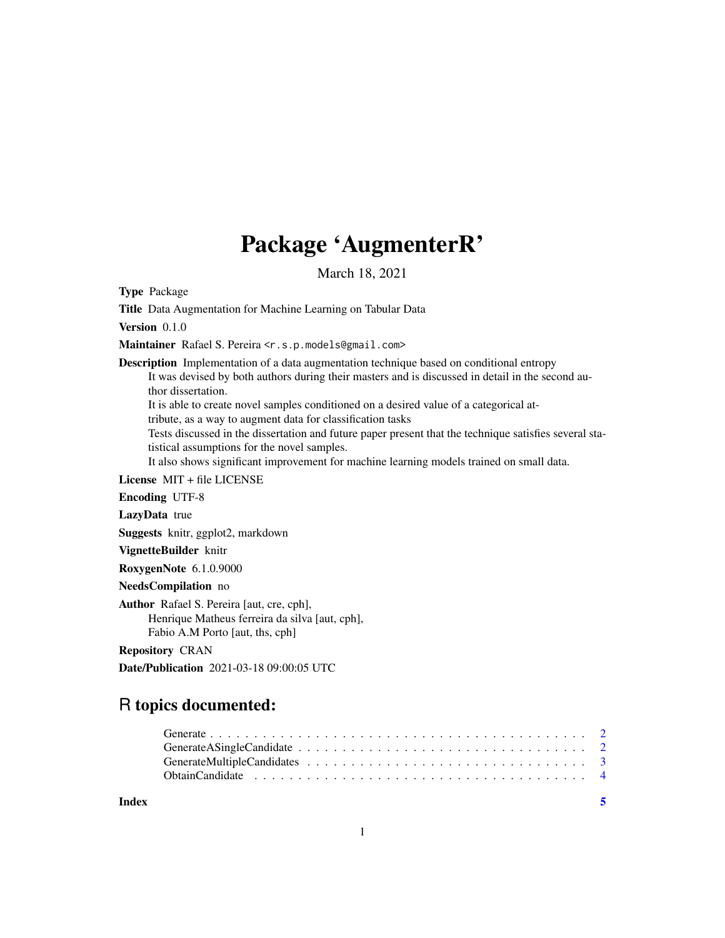## Package 'AugmenterR'

March 18, 2021

Type Package

Title Data Augmentation for Machine Learning on Tabular Data

Version 0.1.0

Maintainer Rafael S. Pereira <r.s.p.models@gmail.com>

Description Implementation of a data augmentation technique based on conditional entropy It was devised by both authors during their masters and is discussed in detail in the second author dissertation.

It is able to create novel samples conditioned on a desired value of a categorical at-

tribute, as a way to augment data for classification tasks

Tests discussed in the dissertation and future paper present that the technique satisfies several statistical assumptions for the novel samples.

It also shows significant improvement for machine learning models trained on small data.

License MIT + file LICENSE

Encoding UTF-8

LazyData true

Suggests knitr, ggplot2, markdown

VignetteBuilder knitr

RoxygenNote 6.1.0.9000

NeedsCompilation no

Author Rafael S. Pereira [aut, cre, cph], Henrique Matheus ferreira da silva [aut, cph], Fabio A.M Porto [aut, ths, cph]

Repository CRAN

Date/Publication 2021-03-18 09:00:05 UTC

### R topics documented:

#### **Index** [5](#page-4-0). The second state of the second state of the second state of the second state of the second state of the second state of the second state of the second state of the second state of the second state of the second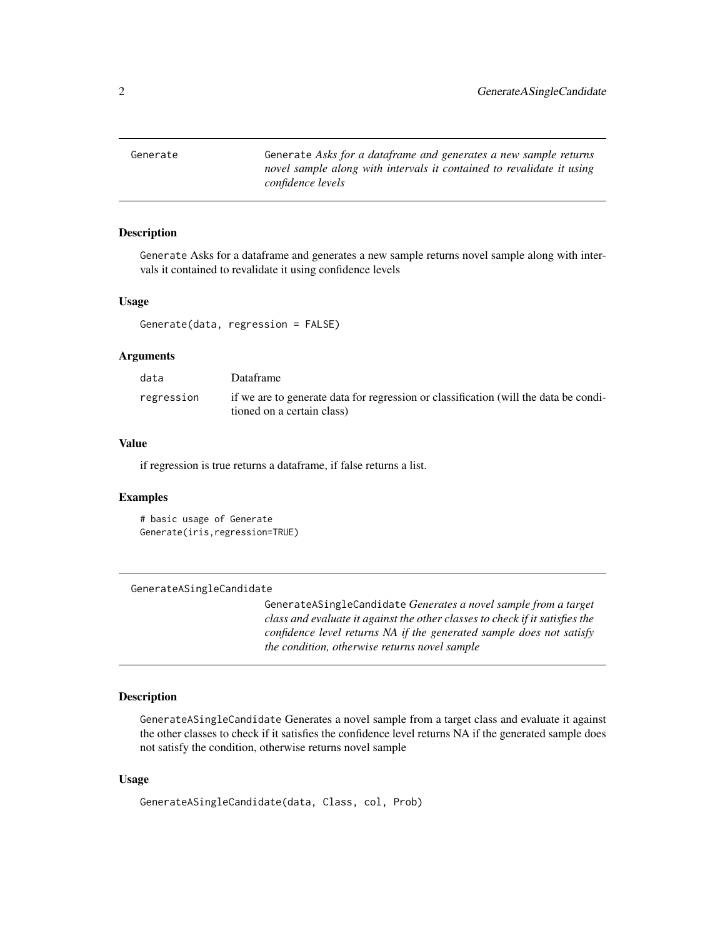<span id="page-1-0"></span>Generate Generate *Asks for a dataframe and generates a new sample returns novel sample along with intervals it contained to revalidate it using confidence levels*

#### Description

Generate Asks for a dataframe and generates a new sample returns novel sample along with intervals it contained to revalidate it using confidence levels

#### Usage

Generate(data, regression = FALSE)

#### Arguments

| data       | Dataframe                                                                                                          |
|------------|--------------------------------------------------------------------------------------------------------------------|
| regression | if we are to generate data for regression or classification (will the data be condi-<br>tioned on a certain class) |

#### Value

if regression is true returns a dataframe, if false returns a list.

#### Examples

```
# basic usage of Generate
Generate(iris,regression=TRUE)
```
GenerateASingleCandidate

GenerateASingleCandidate *Generates a novel sample from a target class and evaluate it against the other classes to check if it satisfies the confidence level returns NA if the generated sample does not satisfy the condition, otherwise returns novel sample*

#### Description

GenerateASingleCandidate Generates a novel sample from a target class and evaluate it against the other classes to check if it satisfies the confidence level returns NA if the generated sample does not satisfy the condition, otherwise returns novel sample

#### Usage

```
GenerateASingleCandidate(data, Class, col, Prob)
```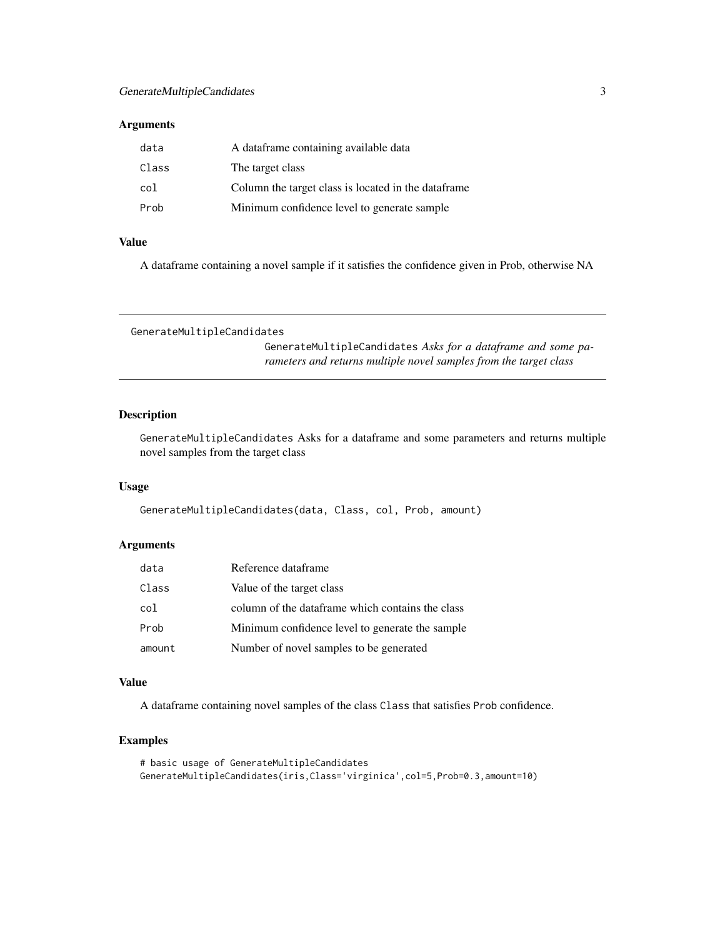#### <span id="page-2-0"></span>Arguments

| data  | A dataframe containing available data               |
|-------|-----------------------------------------------------|
| Class | The target class                                    |
| col   | Column the target class is located in the dataframe |
| Prob  | Minimum confidence level to generate sample         |

#### Value

A dataframe containing a novel sample if it satisfies the confidence given in Prob, otherwise NA

```
GenerateMultipleCandidates
```
GenerateMultipleCandidates *Asks for a dataframe and some parameters and returns multiple novel samples from the target class*

#### Description

GenerateMultipleCandidates Asks for a dataframe and some parameters and returns multiple novel samples from the target class

#### Usage

GenerateMultipleCandidates(data, Class, col, Prob, amount)

#### Arguments

| data   | Reference dataframe                              |
|--------|--------------------------------------------------|
| Class  | Value of the target class                        |
| col    | column of the dataframe which contains the class |
| Prob   | Minimum confidence level to generate the sample  |
| amount | Number of novel samples to be generated          |

#### Value

A dataframe containing novel samples of the class Class that satisfies Prob confidence.

#### Examples

```
# basic usage of GenerateMultipleCandidates
GenerateMultipleCandidates(iris,Class='virginica',col=5,Prob=0.3,amount=10)
```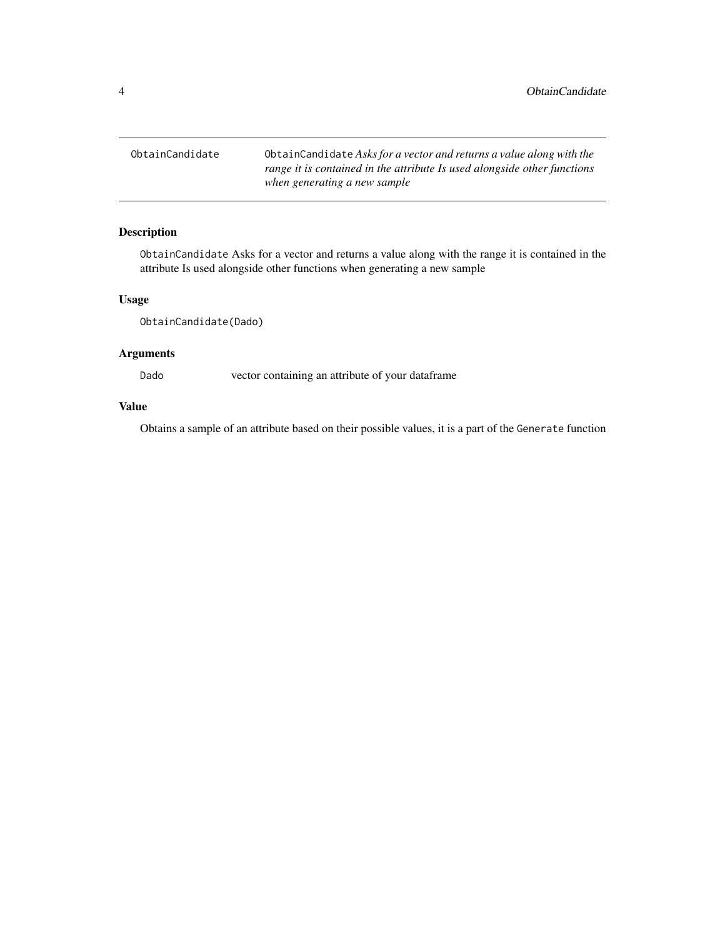<span id="page-3-0"></span>ObtainCandidate ObtainCandidate *Asks for a vector and returns a value along with the range it is contained in the attribute Is used alongside other functions when generating a new sample*

#### Description

ObtainCandidate Asks for a vector and returns a value along with the range it is contained in the attribute Is used alongside other functions when generating a new sample

#### Usage

ObtainCandidate(Dado)

#### Arguments

Dado vector containing an attribute of your dataframe

#### Value

Obtains a sample of an attribute based on their possible values, it is a part of the Generate function